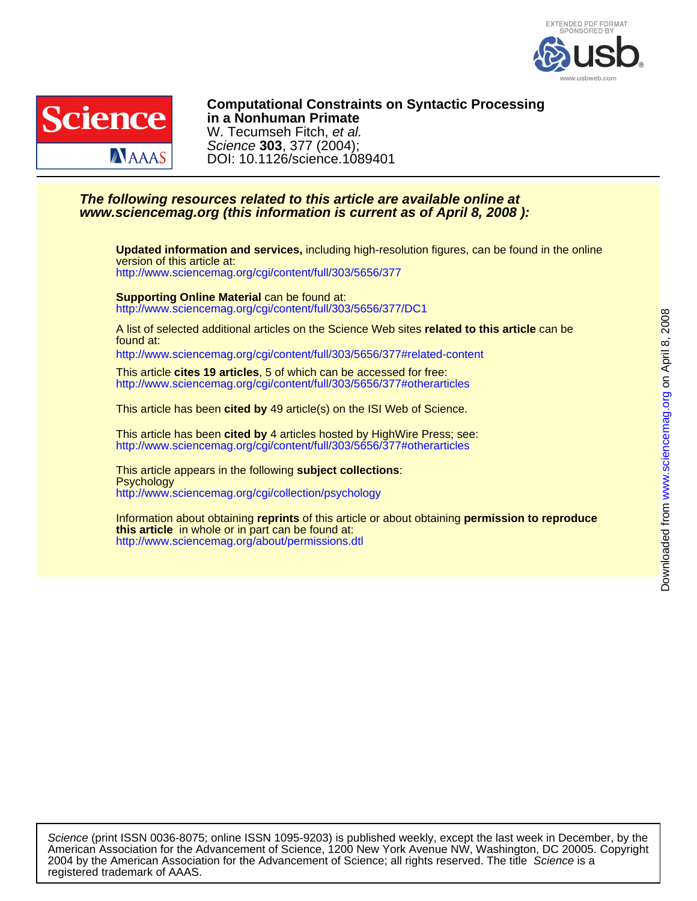



DOI: 10.1126/science.1089401 Science **303**, 377 (2004); W. Tecumseh Fitch, et al. **in a Nonhuman Primate Computational Constraints on Syntactic Processing**

# **www.sciencemag.org (this information is current as of April 8, 2008 ): The following resources related to this article are available online at**

<http://www.sciencemag.org/cgi/content/full/303/5656/377> version of this article at: **Updated information and services,** including high-resolution figures, can be found in the online

<http://www.sciencemag.org/cgi/content/full/303/5656/377/DC1> **Supporting Online Material** can be found at:

found at: A list of selected additional articles on the Science Web sites **related to this article** can be

<http://www.sciencemag.org/cgi/content/full/303/5656/377#related-content>

<http://www.sciencemag.org/cgi/content/full/303/5656/377#otherarticles> This article **cites 19 articles**, 5 of which can be accessed for free:

This article has been **cited by** 49 article(s) on the ISI Web of Science.

<http://www.sciencemag.org/cgi/content/full/303/5656/377#otherarticles> This article has been **cited by** 4 articles hosted by HighWire Press; see:

<http://www.sciencemag.org/cgi/collection/psychology> **Psychology** This article appears in the following **subject collections**:

<http://www.sciencemag.org/about/permissions.dtl> **this article** in whole or in part can be found at: Information about obtaining **reprints** of this article or about obtaining **permission to reproduce**

registered trademark of AAAS. 2004 by the American Association for the Advancement of Science; all rights reserved. The title Science is a American Association for the Advancement of Science, 1200 New York Avenue NW, Washington, DC 20005. Copyright Science (print ISSN 0036-8075; online ISSN 1095-9203) is published weekly, except the last week in December, by the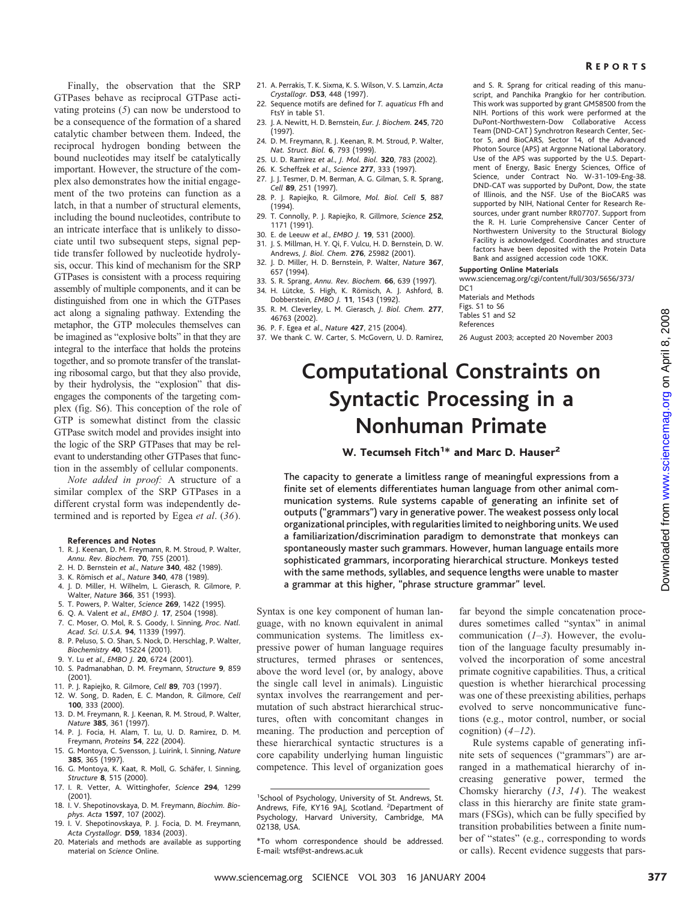### R EPORTS

Finally, the observation that the SRP GTPases behave as reciprocal GTPase activating proteins (*5*) can now be understood to be a consequence of the formation of a shared catalytic chamber between them. Indeed, the reciprocal hydrogen bonding between the bound nucleotides may itself be catalytically important. However, the structure of the complex also demonstrates how the initial engagement of the two proteins can function as a latch, in that a number of structural elements, including the bound nucleotides, contribute to an intricate interface that is unlikely to dissociate until two subsequent steps, signal peptide transfer followed by nucleotide hydrolysis, occur. This kind of mechanism for the SRP GTPases is consistent with a process requiring assembly of multiple components, and it can be distinguished from one in which the GTPases act along a signaling pathway. Extending the metaphor, the GTP molecules themselves can be imagined as "explosive bolts" in that they are integral to the interface that holds the proteins together, and so promote transfer of the translating ribosomal cargo, but that they also provide, by their hydrolysis, the "explosion" that disengages the components of the targeting complex (fig. S6). This conception of the role of GTP is somewhat distinct from the classic GTPase switch model and provides insight into the logic of the SRP GTPases that may be relevant to understanding other GTPases that function in the assembly of cellular components.

*Note added in proof:* A structure of a similar complex of the SRP GTPases in a different crystal form was independently determined and is reported by Egea *et al*. (*36*).

#### **References and Notes**

- 1. R. J. Keenan, D. M. Freymann, R. M. Stroud, P. Walter, *Annu. Rev. Biochem.* **70**, 755 (2001).
- 2. H. D. Bernstein *et al*., *Nature* **340**, 482 (1989).
- 3. K. Ro¨misch *et al*., *Nature* **340**, 478 (1989). 4. J. D. Miller, H. Wilhelm, L. Gierasch, R. Gilmore, P.
- Walter, *Nature* **366**, 351 (1993).
- 5. T. Powers, P. Walter, *Science* **269**, 1422 (1995). 6. Q. A. Valent *et al*., *EMBO J.* **17**, 2504 (1998).
- 7. C. Moser, O. Mol, R. S. Goody, I. Sinning, *Proc. Natl. Acad. Sci. U.S.A.* **94**, 11339 (1997).
- 8. P. Peluso, S. O. Shan, S. Nock, D. Herschlag, P. Walter, *Biochemistry* **40**, 15224 (2001).
- 9. Y. Lu *et al*., *EMBO J.* **20**, 6724 (2001).
- 10. S. Padmanabhan, D. M. Freymann, *Structure* **9**, 859 (2001).
- 11. P. J. Rapiejko, R. Gilmore, *Cell* **89**, 703 (1997).
- 12. W. Song, D. Raden, E. C. Mandon, R. Gilmore, *Cell* **100**, 333 (2000).
- 13. D. M. Freymann, R. J. Keenan, R. M. Stroud, P. Walter, *Nature* **385**, 361 (1997).
- 14. P. J. Focia, H. Alam, T. Lu, U. D. Ramirez, D. M. Freymann, *Proteins* **54**, 222 (2004).
- 15. G. Montoya, C. Svensson, J. Luirink, I. Sinning, *Nature* **385**, 365 (1997).
- 16. G. Montoya, K. Kaat, R. Moll, G. Schäfer, I. Sinning, *Structure* **8**, 515 (2000).
- 17. I. R. Vetter, A. Wittinghofer, *Science* **294**, 1299 (2001).
- 18. I. V. Shepotinovskaya, D. M. Freymann, *Biochim. Biophys. Acta* **1597**, 107 (2002).
- 19. I. V. Shepotinovskaya, P. J. Focia, D. M. Freymann, *Acta Crystallogr.* **D59**, 1834 (2003).
- 20. Materials and methods are available as supporting material on *Science* Online.
- 21. A. Perrakis, T. K. Sixma, K. S. Wilson, V. S. Lamzin, *Acta Crystallogr.* **D53**, 448 (1997).
- 22. Sequence motifsare defined for *T. aquaticus* Ffh and FtsY in table S1.
- 23. J. A. Newitt, H. D. Bernstein, *Eur. J. Biochem.* **245**, 720 (1997).
- 24. D. M. Freymann, R. J. Keenan, R. M. Stroud, P. Walter, *Nat. Struct. Biol.* **6**, 793 (1999).
- 25. U. D. Ramirez *et al*., *J. Mol. Biol.* **320**, 783 (2002).
- 26. K. Scheffzek *et al*., *Science* **277**, 333 (1997).
- 27. J. J. Tesmer, D. M. Berman, A. G. Gilman, S. R. Sprang, *Cell* **89**, 251 (1997).
- 28. P. J. Rapiejko, R. Gilmore, *Mol. Biol. Cell* **5**, 887 (1994).
- 29. T. Connolly, P. J. Rapiejko, R. Gillmore, *Science* **252**, 1171 (1991).
- 30. E. de Leeuw *et al*., *EMBO J.* **19**, 531 (2000).
- 31. J. S. Millman, H. Y. Qi, F. Vulcu, H. D. Bernstein, D. W. Andrews, *J. Biol. Chem.* **276**, 25982 (2001).
- 32. J. D. Miller, H. D. Bernstein, P. Walter, *Nature* **367**, 657 (1994).
- 33. S. R. Sprang, *Annu. Rev. Biochem.* **66**, 639 (1997).
- 34. H. Lütcke, S. High, K. Römisch, A. J. Ashford, B.
- Dobberstein, *EMBO J.* **11**, 1543 (1992). 35. R. M. Cleverley, L. M. Gierasch, *J. Biol. Chem.* **277**, 46763 (2002).
- 36. P. F. Egea *et al*., *Nature* **427**, 215 (2004).
- 37. We thank C. W. Carter, S. McGovern, U. D. Ramirez,

and S. R. Sprang for critical reading of this manuscript, and Panchika Prangkio for her contribution. This work was supported by grant GM58500 from the NIH. Portions of this work were performed at the DuPont-Northwestern-Dow Collaborative Access Team (DND-CAT ) Synchrotron Research Center, Sector 5, and BioCARS, Sector 14, of the Advanced Photon Source (APS) at Argonne National Laboratory. Use of the APS was supported by the U.S. Department of Energy, Basic Energy Sciences, Office of Science, under Contract No. W-31-109-Eng-38. DND-CAT was supported by DuPont, Dow, the state of Illinois, and the NSF. Use of the BioCARS was supported by NIH, National Center for Research Resources, under grant number RR07707. Support from the R. H. Lurie Comprehensive Cancer Center of Northwestern University to the Structural Biology Facility is acknowledged. Coordinates and structure factors have been deposited with the Protein Data Bank and assigned accession code 1OKK.

#### **Supporting Online Materials**

www.sciencemag.org/cgi/content/full/303/5656/373/ DC<sub>1</sub>

Materials and Methods Figs. S1 to S6 Tables S1 and S2 References

26 August 2003; accepted 20 November 2003

# **Computational Constraints on Syntactic Processing in a Nonhuman Primate**

## W. Tecumseh Fitch<sup>1\*</sup> and Marc D. Hauser<sup>2</sup>

The capacity to generate a limitless range of meaningful expressions from a finite set of elements differentiates human language from other animal communication systems. Rule systems capable of generating an infinite set of outputs ("grammars") vary in generative power. The weakest possess only local organizational principles, with regularities limited to neighboring units. We used a familiarization/discrimination paradigm to demonstrate that monkeys can spontaneously master such grammars. However, human language entails more sophisticated grammars, incorporating hierarchical structure. Monkeys tested with the same methods, syllables, and sequence lengths were unable to master a grammar at this higher, "phrase structure grammar" level. methodand the specific content and the specific distribution of and about the specific volume of the specific volume of the specific volume of the specific volume of the specific volume of the specific volume of the spec

Syntax is one key component of human language, with no known equivalent in animal communication systems. The limitless expressive power of human language requires structures, termed phrases or sentences, above the word level (or, by analogy, above the single call level in animals). Linguistic syntax involves the rearrangement and permutation of such abstract hierarchical structures, often with concomitant changes in meaning. The production and perception of these hierarchical syntactic structures is a core capability underlying human linguistic competence. This level of organization goes

far beyond the simple concatenation procedures sometimes called "syntax" in animal communication (*1–3*). However, the evolution of the language faculty presumably involved the incorporation of some ancestral primate cognitive capabilities. Thus, a critical question is whether hierarchical processing was one of these preexisting abilities, perhaps evolved to serve noncommunicative functions (e.g., motor control, number, or social cognition) (*4–12*).

Rule systems capable of generating infinite sets of sequences ("grammars") are arranged in a mathematical hierarchy of increasing generative power, termed the Chomsky hierarchy (*13*, *14*). The weakest class in this hierarchy are finite state grammars (FSGs), which can be fully specified by transition probabilities between a finite number of "states" (e.g., corresponding to words or calls). Recent evidence suggests that pars-

<sup>1</sup> School of Psychology, University of St. Andrews, St. Andrews, Fife, KY16 9AJ, Scotland. <sup>2</sup>Department of Psychology, Harvard University, Cambridge, MA 02138, USA.

<sup>\*</sup>To whom correspondence should be addressed. E-mail: wtsf@st-andrews.ac.uk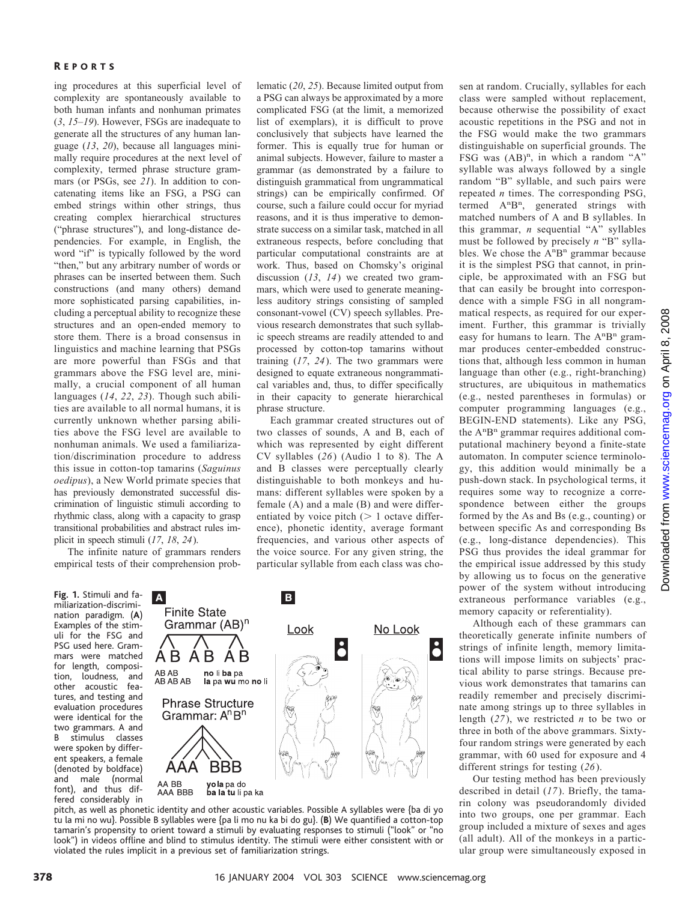## R EPORTS

ing procedures at this superficial level of complexity are spontaneously available to both human infants and nonhuman primates (*3*, *15–19*). However, FSGs are inadequate to generate all the structures of any human language (*13*, *20*), because all languages minimally require procedures at the next level of complexity, termed phrase structure grammars (or PSGs, see *21*). In addition to concatenating items like an FSG, a PSG can embed strings within other strings, thus creating complex hierarchical structures ("phrase structures"), and long-distance dependencies. For example, in English, the word "if" is typically followed by the word "then," but any arbitrary number of words or phrases can be inserted between them. Such constructions (and many others) demand more sophisticated parsing capabilities, including a perceptual ability to recognize these structures and an open-ended memory to store them. There is a broad consensus in linguistics and machine learning that PSGs are more powerful than FSGs and that grammars above the FSG level are, minimally, a crucial component of all human languages (*14*, *22*, *23*). Though such abilities are available to all normal humans, it is currently unknown whether parsing abilities above the FSG level are available to nonhuman animals. We used a familiarization/discrimination procedure to address this issue in cotton-top tamarins (*Saguinus oedipus*), a New World primate species that has previously demonstrated successful discrimination of linguistic stimuli according to rhythmic class, along with a capacity to grasp transitional probabilities and abstract rules implicit in speech stimuli (*17*, *18*, *24*).

The infinite nature of grammars renders empirical tests of their comprehension prob-

**Fig. 1.** Stimuli and familiarization-discrimination paradigm. (**A**) Examples of the stimuli for the FSG and PSG used here. Grammars were matched for length, composition, loudness, and other acoustic features, and testing and evaluation procedures were identical for the two grammars. A and B stimulus classes were spoken by different speakers, a female (denoted by boldface) and male (normal font), and thus differed considerably in



lematic (*20*, *25*). Because limited output from a PSG can always be approximated by a more complicated FSG (at the limit, a memorized list of exemplars), it is difficult to prove conclusively that subjects have learned the former. This is equally true for human or animal subjects. However, failure to master a grammar (as demonstrated by a failure to distinguish grammatical from ungrammatical strings) can be empirically confirmed. Of course, such a failure could occur for myriad reasons, and it is thus imperative to demonstrate success on a similar task, matched in all extraneous respects, before concluding that particular computational constraints are at work. Thus, based on Chomsky's original discussion (*13*, *14*) we created two grammars, which were used to generate meaningless auditory strings consisting of sampled consonant-vowel (CV) speech syllables. Previous research demonstrates that such syllabic speech streams are readily attended to and processed by cotton-top tamarins without training (*17*, *24*). The two grammars were designed to equate extraneous nongrammatical variables and, thus, to differ specifically in their capacity to generate hierarchical phrase structure.

Each grammar created structures out of two classes of sounds, A and B, each of which was represented by eight different CV syllables (*26*) (Audio 1 to 8). The A and B classes were perceptually clearly distinguishable to both monkeys and humans: different syllables were spoken by a female (A) and a male (B) and were differentiated by voice pitch  $($   $> 1$  octave difference), phonetic identity, average formant frequencies, and various other aspects of the voice source. For any given string, the particular syllable from each class was cho-

sen at random. Crucially, syllables for each class were sampled without replacement, because otherwise the possibility of exact acoustic repetitions in the PSG and not in the FSG would make the two grammars distinguishable on superficial grounds. The FSG was  $(AB)^n$ , in which a random "A" syllable was always followed by a single random "B" syllable, and such pairs were repeated *n* times. The corresponding PSG, termed A<sup>n</sup>B<sup>n</sup>, generated strings with matched numbers of A and B syllables. In this grammar, *n* sequential "A" syllables must be followed by precisely *n* "B" syllables. We chose the A<sup>n</sup>B<sup>n</sup> grammar because it is the simplest PSG that cannot, in principle, be approximated with an FSG but that can easily be brought into correspondence with a simple FSG in all nongrammatical respects, as required for our experiment. Further, this grammar is trivially easy for humans to learn. The A<sup>n</sup>B<sup>n</sup> grammar produces center-embedded constructions that, although less common in human language than other (e.g., right-branching) structures, are ubiquitous in mathematics (e.g., nested parentheses in formulas) or computer programming languages (e.g., BEGIN-END statements). Like any PSG, the A<sup>n</sup>B<sup>n</sup> grammar requires additional computational machinery beyond a finite-state automaton. In computer science terminology, this addition would minimally be a push-down stack. In psychological terms, it requires some way to recognize a correspondence between either the groups formed by the As and Bs (e.g., counting) or between specific As and corresponding Bs (e.g., long-distance dependencies). This PSG thus provides the ideal grammar for the empirical issue addressed by this study by allowing us to focus on the generative power of the system without introducing extraneous performance variables (e.g., memory capacity or referentiality).

Although each of these grammars can theoretically generate infinite numbers of strings of infinite length, memory limitations will impose limits on subjects' practical ability to parse strings. Because previous work demonstrates that tamarins can readily remember and precisely discriminate among strings up to three syllables in length (*27*), we restricted *n* to be two or three in both of the above grammars. Sixtyfour random strings were generated by each grammar, with 60 used for exposure and 4 different strings for testing (*26*).

Our testing method has been previously described in detail (*17*). Briefly, the tamarin colony was pseudorandomly divided into two groups, one per grammar. Each group included a mixture of sexes and ages (all adult). All of the monkeys in a particular group were simultaneously exposed in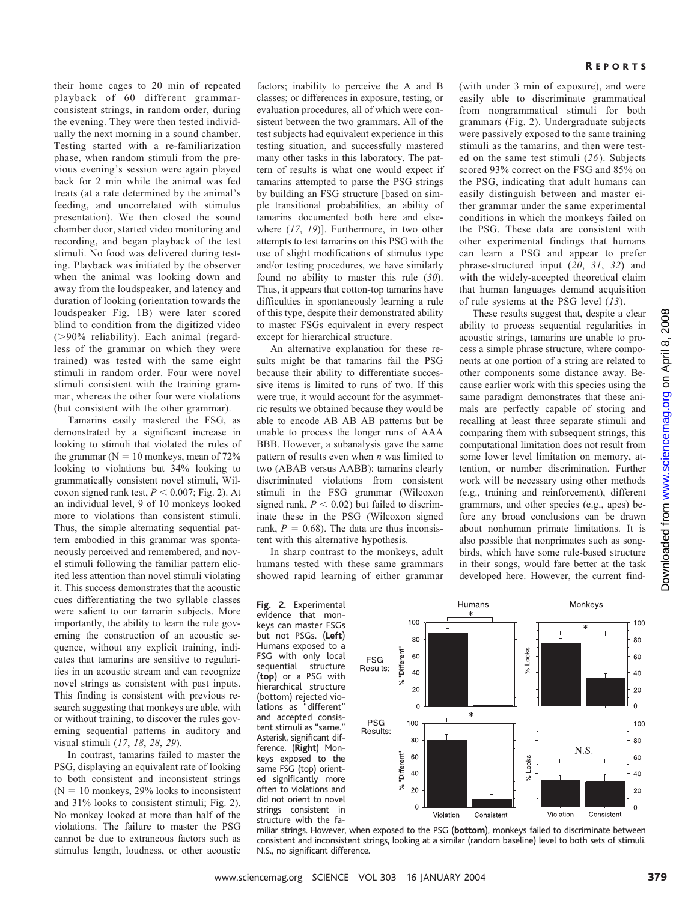their home cages to 20 min of repeated playback of 60 different grammarconsistent strings, in random order, during the evening. They were then tested individually the next morning in a sound chamber. Testing started with a re-familiarization phase, when random stimuli from the previous evening's session were again played back for 2 min while the animal was fed treats (at a rate determined by the animal's feeding, and uncorrelated with stimulus presentation). We then closed the sound chamber door, started video monitoring and recording, and began playback of the test stimuli. No food was delivered during testing. Playback was initiated by the observer when the animal was looking down and away from the loudspeaker, and latency and duration of looking (orientation towards the loudspeaker Fig. 1B) were later scored blind to condition from the digitized video (90% reliability). Each animal (regardless of the grammar on which they were trained) was tested with the same eight stimuli in random order. Four were novel stimuli consistent with the training grammar, whereas the other four were violations (but consistent with the other grammar).

Tamarins easily mastered the FSG, as demonstrated by a significant increase in looking to stimuli that violated the rules of the grammar ( $N = 10$  monkeys, mean of 72% looking to violations but 34% looking to grammatically consistent novel stimuli, Wilcoxon signed rank test,  $P < 0.007$ ; Fig. 2). At an individual level, 9 of 10 monkeys looked more to violations than consistent stimuli. Thus, the simple alternating sequential pattern embodied in this grammar was spontaneously perceived and remembered, and novel stimuli following the familiar pattern elicited less attention than novel stimuli violating it. This success demonstrates that the acoustic cues differentiating the two syllable classes were salient to our tamarin subjects. More importantly, the ability to learn the rule governing the construction of an acoustic sequence, without any explicit training, indicates that tamarins are sensitive to regularities in an acoustic stream and can recognize novel strings as consistent with past inputs. This finding is consistent with previous research suggesting that monkeys are able, with or without training, to discover the rules governing sequential patterns in auditory and visual stimuli (*17*, *18*, *28*, *29*).

In contrast, tamarins failed to master the PSG, displaying an equivalent rate of looking to both consistent and inconsistent strings  $(N = 10$  monkeys, 29% looks to inconsistent and 31% looks to consistent stimuli; Fig. 2). No monkey looked at more than half of the violations. The failure to master the PSG cannot be due to extraneous factors such as stimulus length, loudness, or other acoustic factors; inability to perceive the A and B classes; or differences in exposure, testing, or evaluation procedures, all of which were consistent between the two grammars. All of the test subjects had equivalent experience in this testing situation, and successfully mastered many other tasks in this laboratory. The pattern of results is what one would expect if tamarins attempted to parse the PSG strings by building an FSG structure [based on simple transitional probabilities, an ability of tamarins documented both here and elsewhere (*17*, *19*)]. Furthermore, in two other attempts to test tamarins on this PSG with the use of slight modifications of stimulus type and/or testing procedures, we have similarly found no ability to master this rule (*30*). Thus, it appears that cotton-top tamarins have difficulties in spontaneously learning a rule of this type, despite their demonstrated ability to master FSGs equivalent in every respect except for hierarchical structure.

An alternative explanation for these results might be that tamarins fail the PSG because their ability to differentiate successive items is limited to runs of two. If this were true, it would account for the asymmetric results we obtained because they would be able to encode AB AB AB patterns but be unable to process the longer runs of AAA BBB. However, a subanalysis gave the same pattern of results even when *n* was limited to two (ABAB versus AABB): tamarins clearly discriminated violations from consistent stimuli in the FSG grammar (Wilcoxon signed rank,  $P < 0.02$ ) but failed to discriminate these in the PSG (Wilcoxon signed rank,  $P = 0.68$ ). The data are thus inconsistent with this alternative hypothesis.

In sharp contrast to the monkeys, adult humans tested with these same grammars showed rapid learning of either grammar

**Fig. 2.** Experimental evidence that monkeys can master FSGs but not PSGs. (**Left**) Humans exposed to a FSG with only local sequential structure (**top**) or a PSG with hierarchical structure (bottom) rejected violations as "different" and accepted consistent stimuli as "same." Asterisk, significant difference. (**Right**) Monkeys exposed to the same FSG (top) oriented significantly more often to violations and did not orient to novel strings consistent in structure with the fa-



miliar strings. However, when exposed to the PSG (**bottom**), monkeysfailed to discriminate between consistent and inconsistent strings, looking at a similar (random baseline) level to both sets of stimuli. N.S., no significant difference.

(with under 3 min of exposure), and were easily able to discriminate grammatical from nongrammatical stimuli for both grammars (Fig. 2). Undergraduate subjects were passively exposed to the same training stimuli as the tamarins, and then were tested on the same test stimuli (*26*). Subjects scored 93% correct on the FSG and 85% on the PSG, indicating that adult humans can easily distinguish between and master either grammar under the same experimental conditions in which the monkeys failed on the PSG. These data are consistent with other experimental findings that humans can learn a PSG and appear to prefer phrase-structured input (*20*, *31*, *32*) and with the widely-accepted theoretical claim that human languages demand acquisition of rule systems at the PSG level (*13*).

These results suggest that, despite a clear ability to process sequential regularities in acoustic strings, tamarins are unable to process a simple phrase structure, where components at one portion of a string are related to other components some distance away. Because earlier work with this species using the same paradigm demonstrates that these animals are perfectly capable of storing and recalling at least three separate stimuli and comparing them with subsequent strings, this computational limitation does not result from some lower level limitation on memory, attention, or number discrimination. Further work will be necessary using other methods (e.g., training and reinforcement), different grammars, and other species (e.g., apes) before any broad conclusions can be drawn about nonhuman primate limitations. It is also possible that nonprimates such as songbirds, which have some rule-based structure in their songs, would fare better at the task developed here. However, the current find-